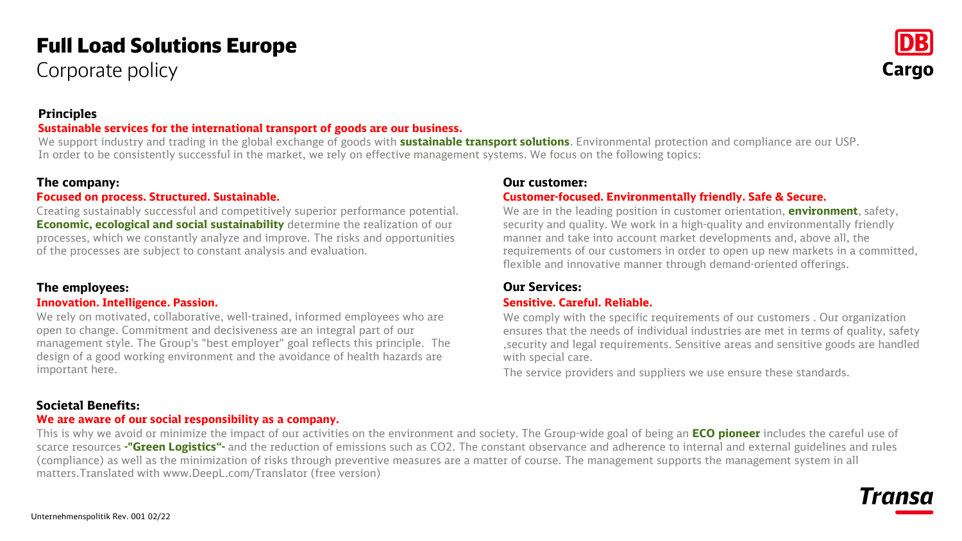# Full Load Solutions Europe

Corporate policy



## **Principles**

#### **Sustainable services for the international transport of goods are our business.**

We support industry and trading in the global exchange of goods with **sustainable transport solutions**. Environmental protection and compliance are our USP. In order to be consistently successful in the market, we rely on effective management systems. We focus on the following topics:

#### **The company:**

#### **Focused on process. Structured. Sustainable.**

Creating sustainably successful and competitively superior performance potential. **Economic, ecological and social sustainability** determine the realization of our processes, which we constantly analyze and improve. The risks and opportunities of the processes are subject to constant analysis and evaluation.

#### **The employees:**

#### **Innovation. Intelligence. Passion.**

We rely on motivated, collaborative, well-trained, informed employees who are open to change. Commitment and decisiveness are an integral part of our management style. The Group's "best employer" goal reflects this principle. The design of a good working environment and the avoidance of health hazards are important here.

#### **Our customer:**

#### **Customer-focused. Environmentally friendly. Safe & Secure.**

We are in the leading position in customer orientation, **environment**, safety, security and quality. We work in a high-quality and environmentally friendly manner and take into account market developments and, above all, the requirements of our customers in order to open up new markets in a committed, flexible and innovative manner through demand-oriented offerings.

## **Our Services:**

#### **Sensitive. Careful. Reliable.**

We comply with the specific requirements of our customers . Our organization ensures that the needs of individual industries are met in terms of quality, safety ,security and legal requirements. Sensitive areas and sensitive goods are handled with special care.

The service providers and suppliers we use ensure these standards.

#### **Societal Benefits:**

#### **We are aware of our social responsibility as a company.**

This is why we avoid or minimize the impact of our activities on the environment and society. The Group-wide goal of being an **ECO pioneer** includes the careful use of scarce resources **-"Green Logistics"-** and the reduction of emissions such as CO2. The constant observance and adherence to internal and external guidelines and rules (compliance) as well as the minimization of risks through preventive measures are a matter of course. The management supports the management system in all matters.Translated with www.DeepL.com/Translator (free version)